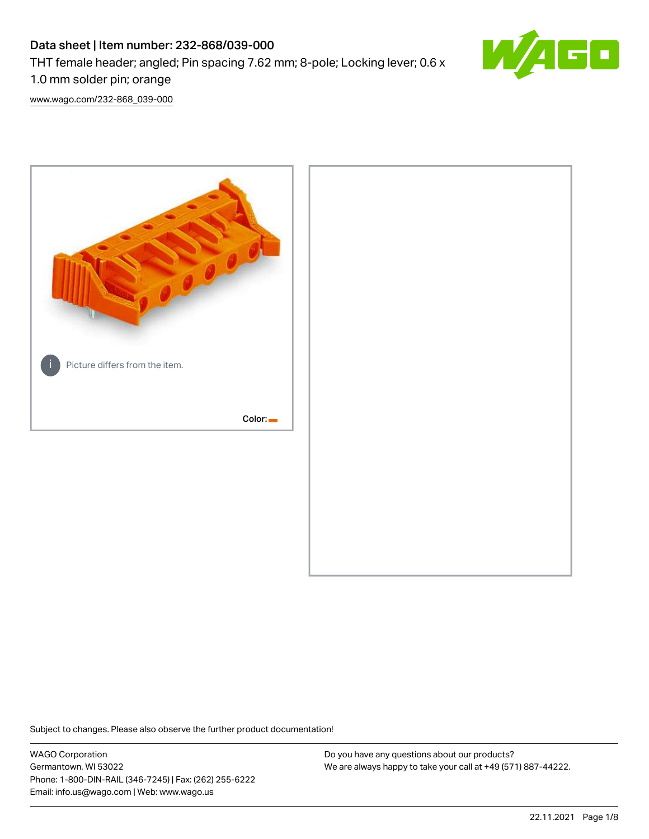# Data sheet | Item number: 232-868/039-000 THT female header; angled; Pin spacing 7.62 mm; 8-pole; Locking lever; 0.6 x 1.0 mm solder pin; orange



[www.wago.com/232-868\\_039-000](http://www.wago.com/232-868_039-000)



Subject to changes. Please also observe the further product documentation!

WAGO Corporation Germantown, WI 53022 Phone: 1-800-DIN-RAIL (346-7245) | Fax: (262) 255-6222 Email: info.us@wago.com | Web: www.wago.us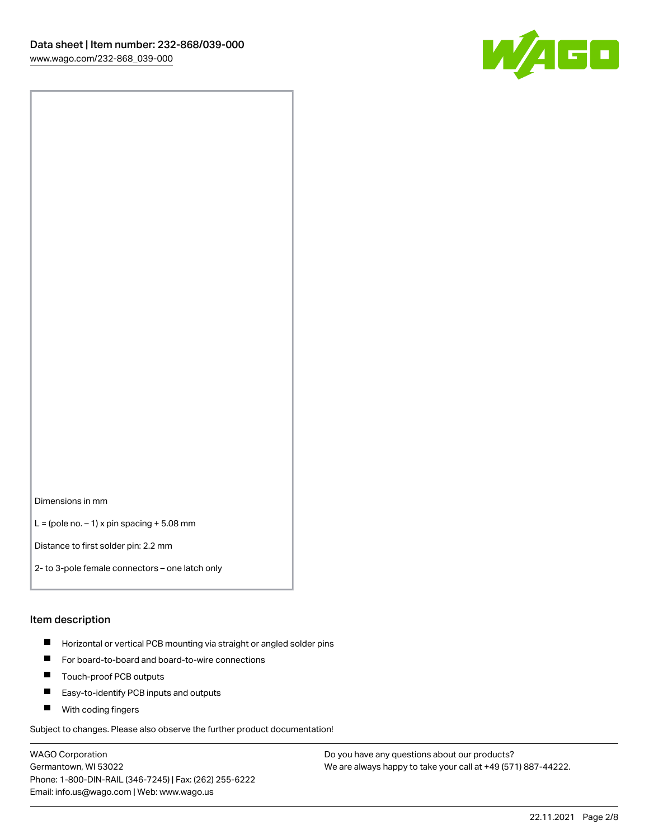

Dimensions in mm

 $L =$  (pole no.  $-1$ ) x pin spacing  $+5.08$  mm

Distance to first solder pin: 2.2 mm

2- to 3-pole female connectors – one latch only

#### Item description

- **Horizontal or vertical PCB mounting via straight or angled solder pins**
- For board-to-board and board-to-wire connections
- $\blacksquare$ Touch-proof PCB outputs
- $\blacksquare$ Easy-to-identify PCB inputs and outputs
- **Now With coding fingers**

Subject to changes. Please also observe the further product documentation!

WAGO Corporation Germantown, WI 53022 Phone: 1-800-DIN-RAIL (346-7245) | Fax: (262) 255-6222 Email: info.us@wago.com | Web: www.wago.us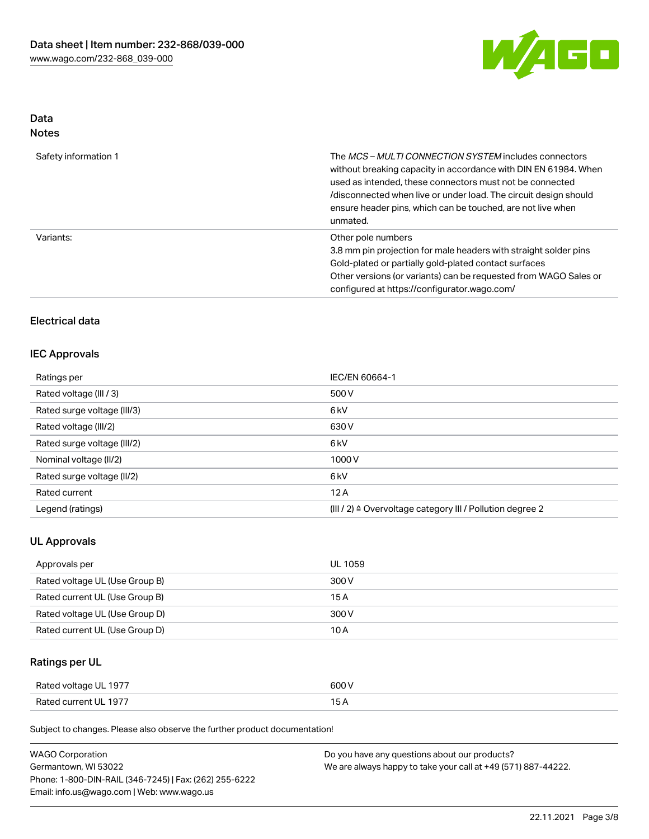

#### Data Notes

| Safety information 1 | The MCS-MULTI CONNECTION SYSTEM includes connectors<br>without breaking capacity in accordance with DIN EN 61984. When<br>used as intended, these connectors must not be connected<br>/disconnected when live or under load. The circuit design should<br>ensure header pins, which can be touched, are not live when<br>unmated. |
|----------------------|-----------------------------------------------------------------------------------------------------------------------------------------------------------------------------------------------------------------------------------------------------------------------------------------------------------------------------------|
| Variants:            | Other pole numbers<br>3.8 mm pin projection for male headers with straight solder pins<br>Gold-plated or partially gold-plated contact surfaces<br>Other versions (or variants) can be requested from WAGO Sales or<br>configured at https://configurator.wago.com/                                                               |

# Electrical data

### IEC Approvals

| Ratings per                 | IEC/EN 60664-1                                                       |
|-----------------------------|----------------------------------------------------------------------|
| Rated voltage (III / 3)     | 500 V                                                                |
| Rated surge voltage (III/3) | 6 <sub>k</sub> V                                                     |
| Rated voltage (III/2)       | 630 V                                                                |
| Rated surge voltage (III/2) | 6 <sub>k</sub> V                                                     |
| Nominal voltage (II/2)      | 1000V                                                                |
| Rated surge voltage (II/2)  | 6 <sub>k</sub> V                                                     |
| Rated current               | 12A                                                                  |
| Legend (ratings)            | (III / 2) $\triangleq$ Overvoltage category III / Pollution degree 2 |

### UL Approvals

| Approvals per                  | UL 1059 |
|--------------------------------|---------|
| Rated voltage UL (Use Group B) | 300 V   |
| Rated current UL (Use Group B) | 15 A    |
| Rated voltage UL (Use Group D) | 300 V   |
| Rated current UL (Use Group D) | 10 A    |

# Ratings per UL

| Rated voltage UL 1977 | 600 V |
|-----------------------|-------|
| Rated current UL 1977 |       |

Subject to changes. Please also observe the further product documentation!

| <b>WAGO Corporation</b>                                | Do you have any questions about our products?                 |
|--------------------------------------------------------|---------------------------------------------------------------|
| Germantown, WI 53022                                   | We are always happy to take your call at +49 (571) 887-44222. |
| Phone: 1-800-DIN-RAIL (346-7245)   Fax: (262) 255-6222 |                                                               |
| Email: info.us@wago.com   Web: www.wago.us             |                                                               |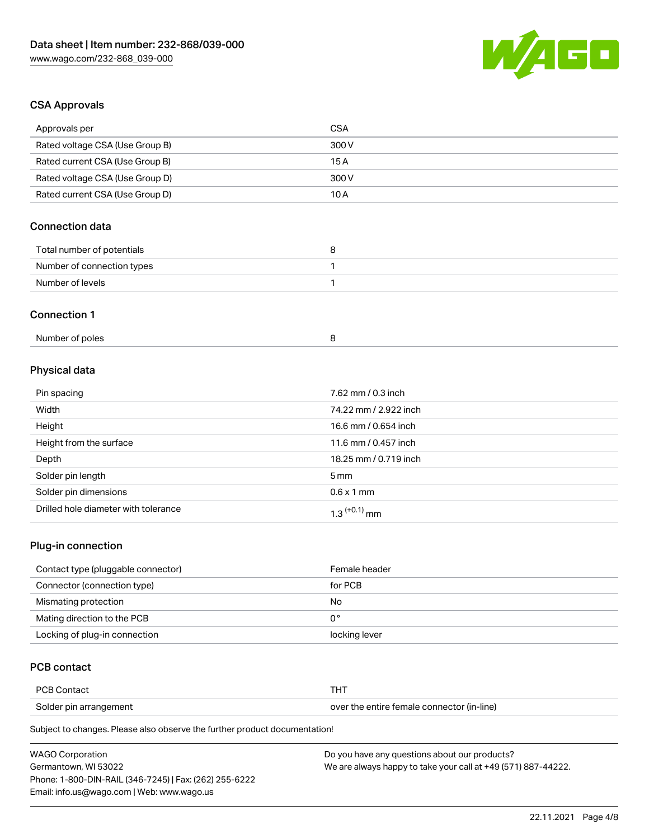

# CSA Approvals

| Approvals per                   | <b>CSA</b>            |  |
|---------------------------------|-----------------------|--|
| Rated voltage CSA (Use Group B) | 300V                  |  |
| Rated current CSA (Use Group B) | 15A                   |  |
| Rated voltage CSA (Use Group D) | 300V                  |  |
| Rated current CSA (Use Group D) | 10A                   |  |
| <b>Connection data</b>          |                       |  |
| Total number of potentials      | 8                     |  |
| Number of connection types      | 1                     |  |
| Number of levels                | 1                     |  |
| <b>Connection 1</b>             |                       |  |
| Number of poles                 | 8                     |  |
| Physical data                   |                       |  |
| Pin spacing                     | 7.62 mm / 0.3 inch    |  |
| Width                           | 74.22 mm / 2.922 inch |  |
| Height                          | 16.6 mm / 0.654 inch  |  |
| Height from the surface         | 11.6 mm / 0.457 inch  |  |
| Depth                           | 18.25 mm / 0.719 inch |  |
| Solder pin length               | 5 <sub>mm</sub>       |  |
| Solder pin dimensions           | $0.6 \times 1$ mm     |  |

### Plug-in connection

| Contact type (pluggable connector) | Female header |
|------------------------------------|---------------|
| Connector (connection type)        | for PCB       |
| Mismating protection               | No            |
| Mating direction to the PCB        | 0°            |
| Locking of plug-in connection      | locking lever |

# PCB contact

| <b>PCB Contact</b>     |                                            |
|------------------------|--------------------------------------------|
| Solder pin arrangement | over the entire female connector (in-line) |

Subject to changes. Please also observe the further product documentation!

Drilled hole diameter with tolerance  $1.3$   $(+0.1)$  mm

| <b>WAGO Corporation</b>                                | Do you have any questions about our products?                 |
|--------------------------------------------------------|---------------------------------------------------------------|
| Germantown. WI 53022                                   | We are always happy to take your call at +49 (571) 887-44222. |
| Phone: 1-800-DIN-RAIL (346-7245)   Fax: (262) 255-6222 |                                                               |
| Email: info.us@wago.com   Web: www.wago.us             |                                                               |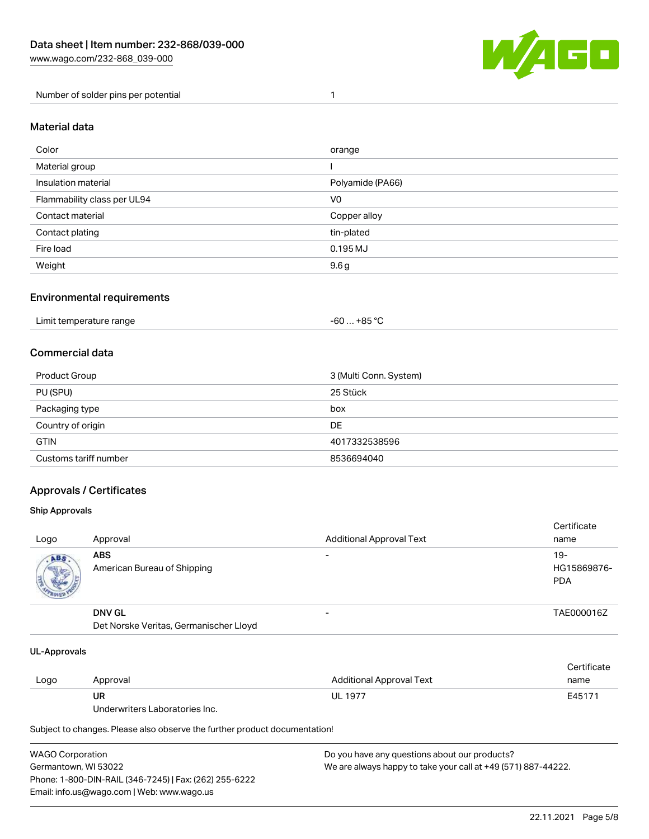

Number of solder pins per potential 1

### Material data

| Color                       | orange           |
|-----------------------------|------------------|
| Material group              |                  |
| Insulation material         | Polyamide (PA66) |
| Flammability class per UL94 | V <sub>0</sub>   |
| Contact material            | Copper alloy     |
| Contact plating             | tin-plated       |
| Fire load                   | 0.195 MJ         |
| Weight                      | 9.6g             |

### Environmental requirements

| Limit temperature range<br>. | . +85 °C<br>-60 |  |
|------------------------------|-----------------|--|
|------------------------------|-----------------|--|

# Commercial data

| Product Group         | 3 (Multi Conn. System) |
|-----------------------|------------------------|
| PU (SPU)              | 25 Stück               |
| Packaging type        | box                    |
| Country of origin     | DE                     |
| <b>GTIN</b>           | 4017332538596          |
| Customs tariff number | 8536694040             |

# Approvals / Certificates

#### Ship Approvals

| Logo | Approval                                                | <b>Additional Approval Text</b> | Certificate<br>name              |
|------|---------------------------------------------------------|---------------------------------|----------------------------------|
| ABS  | <b>ABS</b><br>American Bureau of Shipping               | $\overline{\phantom{0}}$        | 19-<br>HG15869876-<br><b>PDA</b> |
|      | <b>DNV GL</b><br>Det Norske Veritas, Germanischer Lloyd |                                 | TAE000016Z                       |

#### UL-Approvals

| Logo | Approval                       | Additional Approval Text | Certificate<br>name |
|------|--------------------------------|--------------------------|---------------------|
|      | UR                             | <b>UL 1977</b>           | E45171              |
|      | Underwriters Laboratories Inc. |                          |                     |

Subject to changes. Please also observe the further product documentation!

| WAGO Corporation                                       | Do you have any questions about our products?                 |
|--------------------------------------------------------|---------------------------------------------------------------|
| Germantown, WI 53022                                   | We are always happy to take your call at +49 (571) 887-44222. |
| Phone: 1-800-DIN-RAIL (346-7245)   Fax: (262) 255-6222 |                                                               |
| Email: info.us@wago.com   Web: www.wago.us             |                                                               |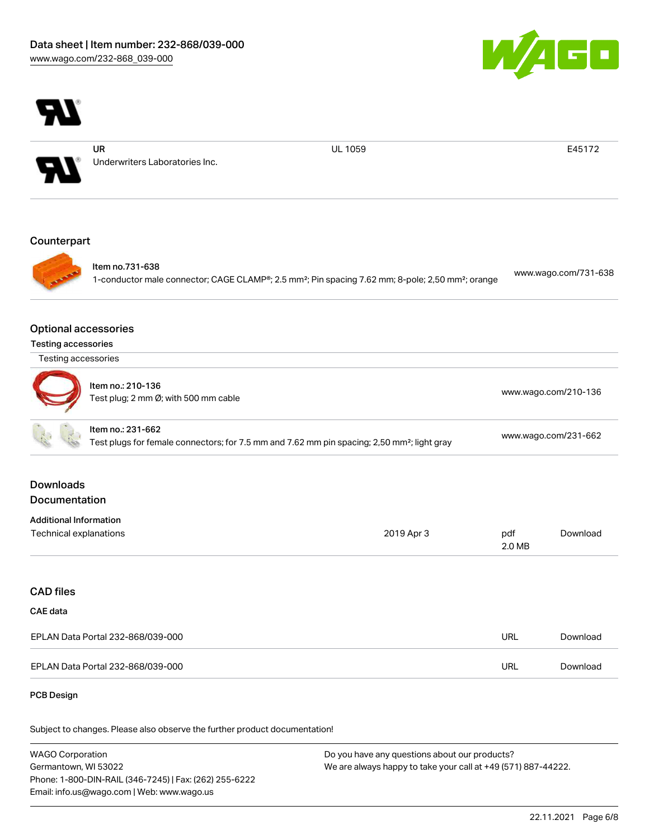



WAGO Corporation Germantown, WI 53022 Phone: 1-800-DIN-RAIL (346-7245) | Fax: (262) 255-6222 Email: info.us@wago.com | Web: www.wago.us Do you have any questions about our products? We are always happy to take your call at +49 (571) 887-44222.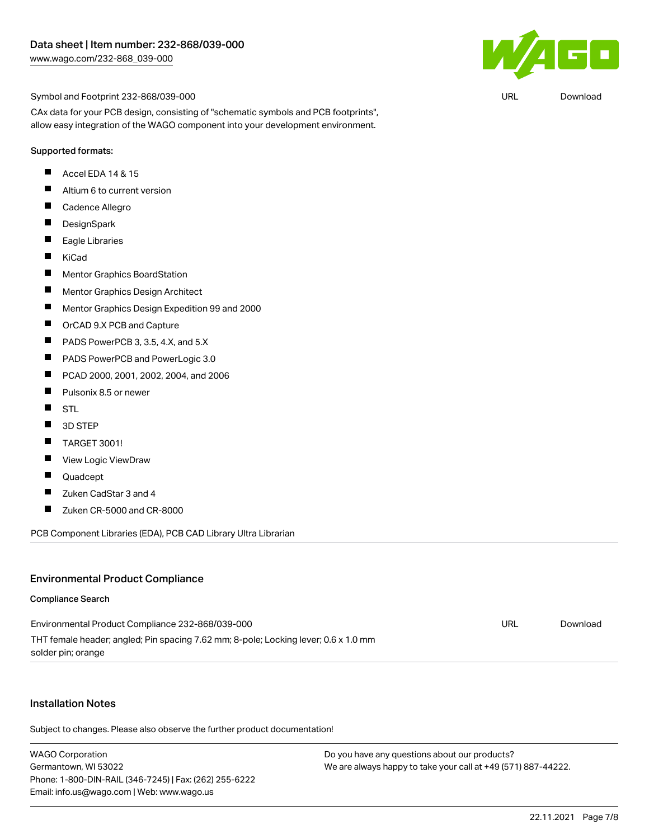

Symbol and Footprint 232-868/039-000

CAx data for your PCB design, consisting of "schematic symbols and PCB footprints", allow easy integration of the WAGO component into your development environment.

#### Supported formats:

- П Accel EDA 14 & 15
- $\blacksquare$ Altium 6 to current version
- $\blacksquare$ Cadence Allegro
- $\blacksquare$ **DesignSpark**
- $\blacksquare$ Eagle Libraries
- $\blacksquare$ KiCad
- $\blacksquare$ Mentor Graphics BoardStation
- $\blacksquare$ Mentor Graphics Design Architect
- $\blacksquare$ Mentor Graphics Design Expedition 99 and 2000
- $\blacksquare$ OrCAD 9.X PCB and Capture
- П PADS PowerPCB 3, 3.5, 4.X, and 5.X
- $\blacksquare$ PADS PowerPCB and PowerLogic 3.0
- $\blacksquare$ PCAD 2000, 2001, 2002, 2004, and 2006
- $\blacksquare$ Pulsonix 8.5 or newer
- $\blacksquare$ **STL**
- $\blacksquare$ 3D STEP
- $\blacksquare$ TARGET 3001!
- $\blacksquare$ View Logic ViewDraw
- П Quadcept
- $\blacksquare$ Zuken CadStar 3 and 4
- $\blacksquare$ Zuken CR-5000 and CR-8000

PCB Component Libraries (EDA), PCB CAD Library Ultra Librarian

#### Environmental Product Compliance

#### Compliance Search

| Environmental Product Compliance 232-868/039-000                                    | URL | Download |
|-------------------------------------------------------------------------------------|-----|----------|
| THT female header; angled; Pin spacing 7.62 mm; 8-pole; Locking lever; 0.6 x 1.0 mm |     |          |
| solder pin; orange                                                                  |     |          |

### Installation Notes

Subject to changes. Please also observe the further product documentation!

WAGO Corporation Germantown, WI 53022 Phone: 1-800-DIN-RAIL (346-7245) | Fax: (262) 255-6222 Email: info.us@wago.com | Web: www.wago.us